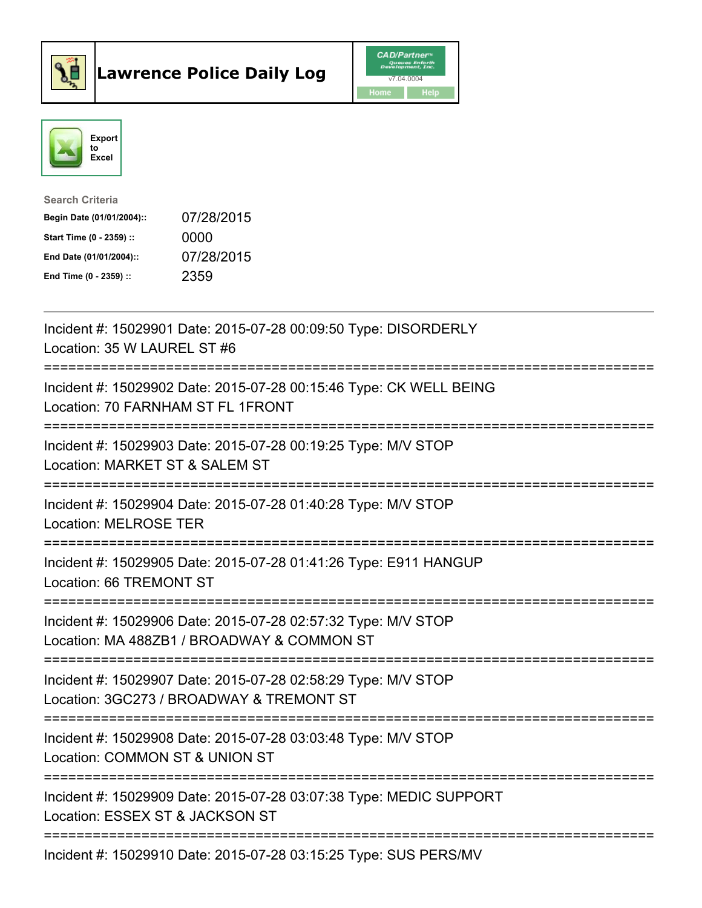



| <b>Search Criteria</b>    |            |
|---------------------------|------------|
| Begin Date (01/01/2004):: | 07/28/2015 |
| Start Time (0 - 2359) ::  | 0000       |
| End Date (01/01/2004)::   | 07/28/2015 |
| End Time $(0 - 2359)$ :   | 2359       |

| Incident #: 15029901 Date: 2015-07-28 00:09:50 Type: DISORDERLY<br>Location: 35 W LAUREL ST #6                                                       |
|------------------------------------------------------------------------------------------------------------------------------------------------------|
| Incident #: 15029902 Date: 2015-07-28 00:15:46 Type: CK WELL BEING<br>Location: 70 FARNHAM ST FL 1FRONT<br>:=====================                    |
| Incident #: 15029903 Date: 2015-07-28 00:19:25 Type: M/V STOP<br>Location: MARKET ST & SALEM ST<br>=======================                           |
| Incident #: 15029904 Date: 2015-07-28 01:40:28 Type: M/V STOP<br><b>Location: MELROSE TER</b><br>------------------------------------                |
| Incident #: 15029905 Date: 2015-07-28 01:41:26 Type: E911 HANGUP<br>Location: 66 TREMONT ST<br>-------------------------------------                 |
| Incident #: 15029906 Date: 2015-07-28 02:57:32 Type: M/V STOP<br>Location: MA 488ZB1 / BROADWAY & COMMON ST<br>===================================== |
| Incident #: 15029907 Date: 2015-07-28 02:58:29 Type: M/V STOP<br>Location: 3GC273 / BROADWAY & TREMONT ST                                            |
| Incident #: 15029908 Date: 2015-07-28 03:03:48 Type: M/V STOP<br>Location: COMMON ST & UNION ST                                                      |
| Incident #: 15029909 Date: 2015-07-28 03:07:38 Type: MEDIC SUPPORT<br>Location: ESSEX ST & JACKSON ST                                                |
| Incident #: 15029910 Date: 2015-07-28 03:15:25 Type: SUS PERS/MV                                                                                     |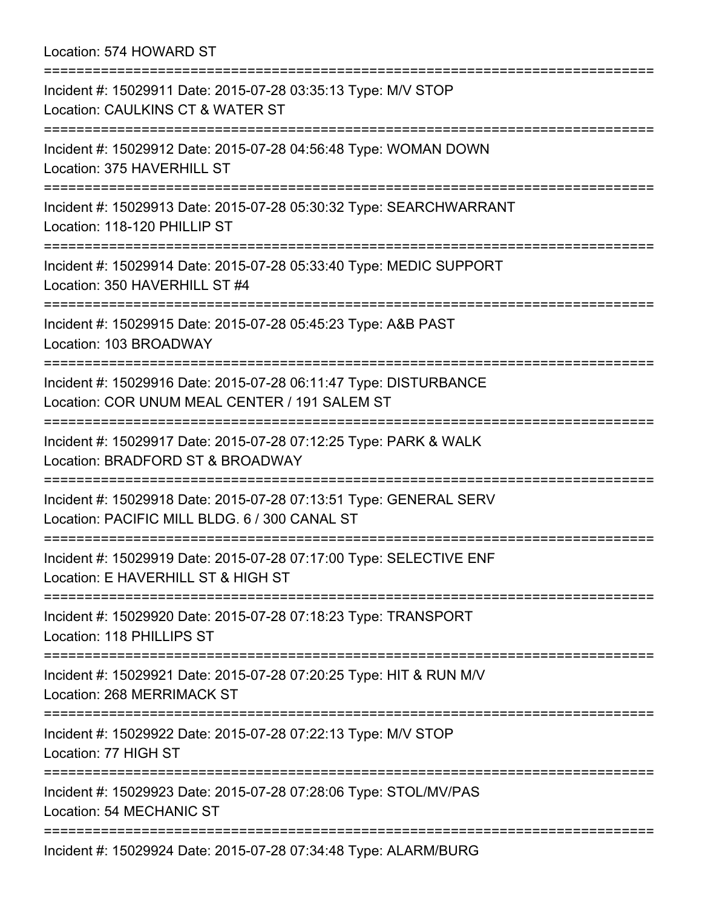Location: 574 HOWARD ST

=========================================================================== Incident #: 15029911 Date: 2015-07-28 03:35:13 Type: M/V STOP Location: CAULKINS CT & WATER ST =========================================================================== Incident #: 15029912 Date: 2015-07-28 04:56:48 Type: WOMAN DOWN Location: 375 HAVERHILL ST =========================================================================== Incident #: 15029913 Date: 2015-07-28 05:30:32 Type: SEARCHWARRANT Location: 118-120 PHILLIP ST =========================================================================== Incident #: 15029914 Date: 2015-07-28 05:33:40 Type: MEDIC SUPPORT Location: 350 HAVERHILL ST #4 =========================================================================== Incident #: 15029915 Date: 2015-07-28 05:45:23 Type: A&B PAST Location: 103 BROADWAY =========================================================================== Incident #: 15029916 Date: 2015-07-28 06:11:47 Type: DISTURBANCE Location: COR UNUM MEAL CENTER / 191 SALEM ST =========================================================================== Incident #: 15029917 Date: 2015-07-28 07:12:25 Type: PARK & WALK Location: BRADFORD ST & BROADWAY =========================================================================== Incident #: 15029918 Date: 2015-07-28 07:13:51 Type: GENERAL SERV Location: PACIFIC MILL BLDG. 6 / 300 CANAL ST =========================================================================== Incident #: 15029919 Date: 2015-07-28 07:17:00 Type: SELECTIVE ENF Location: E HAVERHILL ST & HIGH ST =========================================================================== Incident #: 15029920 Date: 2015-07-28 07:18:23 Type: TRANSPORT Location: 118 PHILLIPS ST =========================================================================== Incident #: 15029921 Date: 2015-07-28 07:20:25 Type: HIT & RUN M/V Location: 268 MERRIMACK ST =========================================================================== Incident #: 15029922 Date: 2015-07-28 07:22:13 Type: M/V STOP Location: 77 HIGH ST =========================================================================== Incident #: 15029923 Date: 2015-07-28 07:28:06 Type: STOL/MV/PAS Location: 54 MECHANIC ST =========================================================================== Incident #: 15029924 Date: 2015-07-28 07:34:48 Type: ALARM/BURG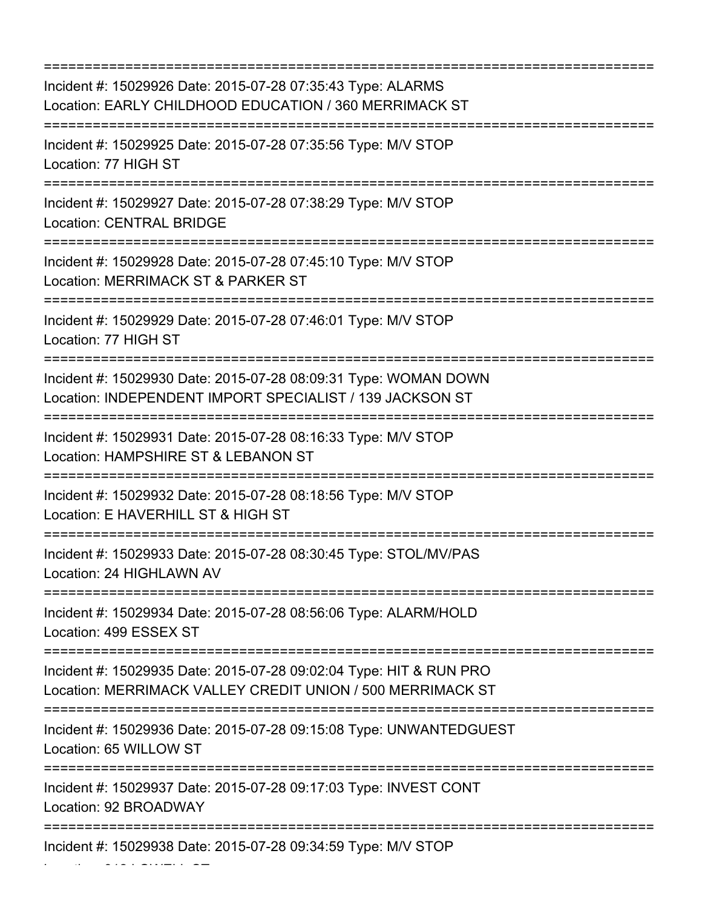| Incident #: 15029926 Date: 2015-07-28 07:35:43 Type: ALARMS<br>Location: EARLY CHILDHOOD EDUCATION / 360 MERRIMACK ST                |
|--------------------------------------------------------------------------------------------------------------------------------------|
| Incident #: 15029925 Date: 2015-07-28 07:35:56 Type: M/V STOP<br>Location: 77 HIGH ST<br>;===================================        |
| Incident #: 15029927 Date: 2015-07-28 07:38:29 Type: M/V STOP<br><b>Location: CENTRAL BRIDGE</b>                                     |
| Incident #: 15029928 Date: 2015-07-28 07:45:10 Type: M/V STOP<br>Location: MERRIMACK ST & PARKER ST                                  |
| Incident #: 15029929 Date: 2015-07-28 07:46:01 Type: M/V STOP<br>Location: 77 HIGH ST                                                |
| Incident #: 15029930 Date: 2015-07-28 08:09:31 Type: WOMAN DOWN<br>Location: INDEPENDENT IMPORT SPECIALIST / 139 JACKSON ST          |
| ============================<br>Incident #: 15029931 Date: 2015-07-28 08:16:33 Type: M/V STOP<br>Location: HAMPSHIRE ST & LEBANON ST |
| Incident #: 15029932 Date: 2015-07-28 08:18:56 Type: M/V STOP<br>Location: E HAVERHILL ST & HIGH ST                                  |
| Incident #: 15029933 Date: 2015-07-28 08:30:45 Type: STOL/MV/PAS<br>Location: 24 HIGHLAWN AV                                         |
| Incident #: 15029934 Date: 2015-07-28 08:56:06 Type: ALARM/HOLD<br>Location: 499 ESSEX ST                                            |
| Incident #: 15029935 Date: 2015-07-28 09:02:04 Type: HIT & RUN PRO<br>Location: MERRIMACK VALLEY CREDIT UNION / 500 MERRIMACK ST     |
| Incident #: 15029936 Date: 2015-07-28 09:15:08 Type: UNWANTEDGUEST<br>Location: 65 WILLOW ST                                         |
| Incident #: 15029937 Date: 2015-07-28 09:17:03 Type: INVEST CONT<br>Location: 92 BROADWAY                                            |
| Incident #: 15029938 Date: 2015-07-28 09:34:59 Type: M/V STOP                                                                        |

Location: 312 LOWELL ST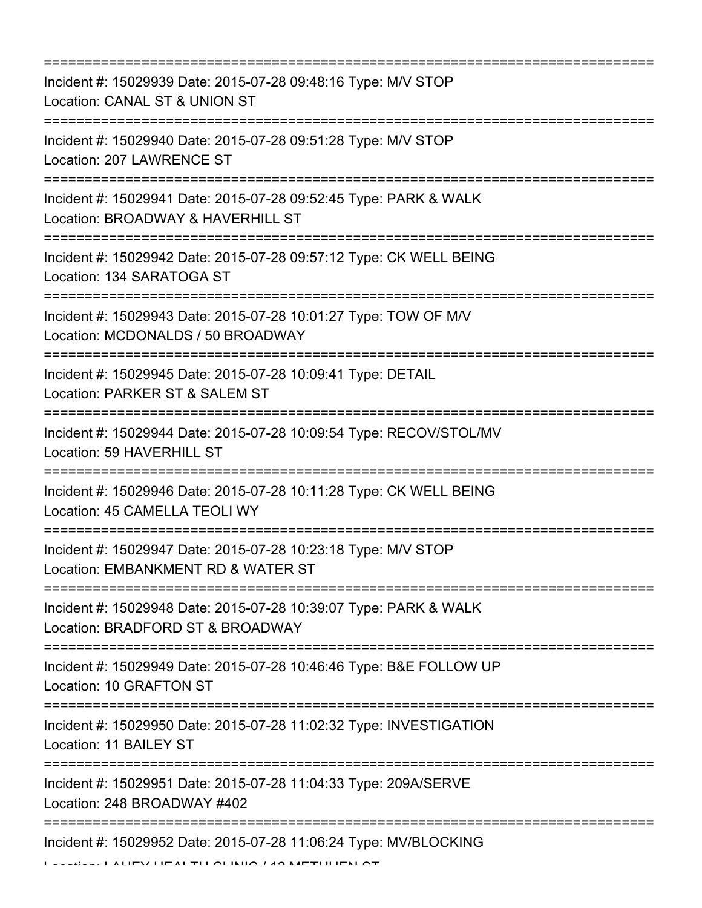| Incident #: 15029939 Date: 2015-07-28 09:48:16 Type: M/V STOP<br>Location: CANAL ST & UNION ST                                            |
|-------------------------------------------------------------------------------------------------------------------------------------------|
| Incident #: 15029940 Date: 2015-07-28 09:51:28 Type: M/V STOP<br>Location: 207 LAWRENCE ST<br>===============================             |
| Incident #: 15029941 Date: 2015-07-28 09:52:45 Type: PARK & WALK<br>Location: BROADWAY & HAVERHILL ST<br>:====================            |
| Incident #: 15029942 Date: 2015-07-28 09:57:12 Type: CK WELL BEING<br>Location: 134 SARATOGA ST                                           |
| Incident #: 15029943 Date: 2015-07-28 10:01:27 Type: TOW OF M/V<br>Location: MCDONALDS / 50 BROADWAY                                      |
| Incident #: 15029945 Date: 2015-07-28 10:09:41 Type: DETAIL<br>Location: PARKER ST & SALEM ST                                             |
| Incident #: 15029944 Date: 2015-07-28 10:09:54 Type: RECOV/STOL/MV<br>Location: 59 HAVERHILL ST                                           |
| ==================================<br>Incident #: 15029946 Date: 2015-07-28 10:11:28 Type: CK WELL BEING<br>Location: 45 CAMELLA TEOLI WY |
| Incident #: 15029947 Date: 2015-07-28 10:23:18 Type: M/V STOP<br>Location: EMBANKMENT RD & WATER ST                                       |
| Incident #: 15029948 Date: 2015-07-28 10:39:07 Type: PARK & WALK<br>Location: BRADFORD ST & BROADWAY                                      |
| Incident #: 15029949 Date: 2015-07-28 10:46:46 Type: B&E FOLLOW UP<br>Location: 10 GRAFTON ST                                             |
| Incident #: 15029950 Date: 2015-07-28 11:02:32 Type: INVESTIGATION<br>Location: 11 BAILEY ST                                              |
| Incident #: 15029951 Date: 2015-07-28 11:04:33 Type: 209A/SERVE<br>Location: 248 BROADWAY #402                                            |
| Incident #: 15029952 Date: 2015-07-28 11:06:24 Type: MV/BLOCKING                                                                          |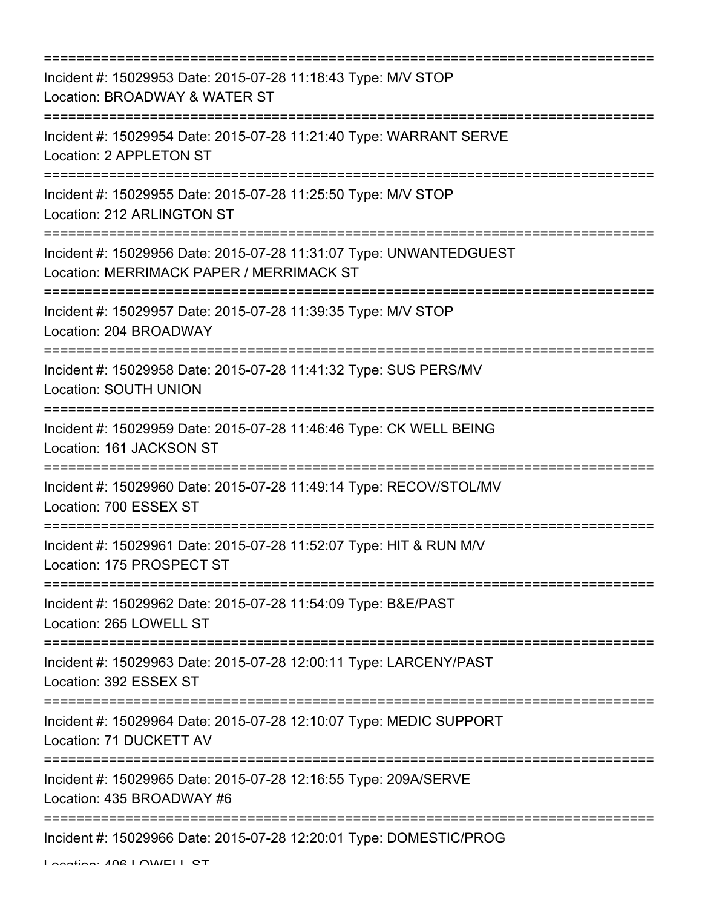| ===============================                                                                                             |
|-----------------------------------------------------------------------------------------------------------------------------|
| Incident #: 15029953 Date: 2015-07-28 11:18:43 Type: M/V STOP<br>Location: BROADWAY & WATER ST                              |
| Incident #: 15029954 Date: 2015-07-28 11:21:40 Type: WARRANT SERVE<br>Location: 2 APPLETON ST                               |
| Incident #: 15029955 Date: 2015-07-28 11:25:50 Type: M/V STOP<br>Location: 212 ARLINGTON ST                                 |
| Incident #: 15029956 Date: 2015-07-28 11:31:07 Type: UNWANTEDGUEST<br>Location: MERRIMACK PAPER / MERRIMACK ST              |
| Incident #: 15029957 Date: 2015-07-28 11:39:35 Type: M/V STOP<br>Location: 204 BROADWAY                                     |
| Incident #: 15029958 Date: 2015-07-28 11:41:32 Type: SUS PERS/MV<br><b>Location: SOUTH UNION</b>                            |
| Incident #: 15029959 Date: 2015-07-28 11:46:46 Type: CK WELL BEING<br>Location: 161 JACKSON ST<br>========================= |
| Incident #: 15029960 Date: 2015-07-28 11:49:14 Type: RECOV/STOL/MV<br>Location: 700 ESSEX ST                                |
| Incident #: 15029961 Date: 2015-07-28 11:52:07 Type: HIT & RUN M/V<br>Location: 175 PROSPECT ST                             |
| Incident #: 15029962 Date: 2015-07-28 11:54:09 Type: B&E/PAST<br>Location: 265 LOWELL ST                                    |
| Incident #: 15029963 Date: 2015-07-28 12:00:11 Type: LARCENY/PAST<br>Location: 392 ESSEX ST                                 |
| Incident #: 15029964 Date: 2015-07-28 12:10:07 Type: MEDIC SUPPORT<br>Location: 71 DUCKETT AV                               |
| Incident #: 15029965 Date: 2015-07-28 12:16:55 Type: 209A/SERVE<br>Location: 435 BROADWAY #6                                |
| Incident #: 15029966 Date: 2015-07-28 12:20:01 Type: DOMESTIC/PROG                                                          |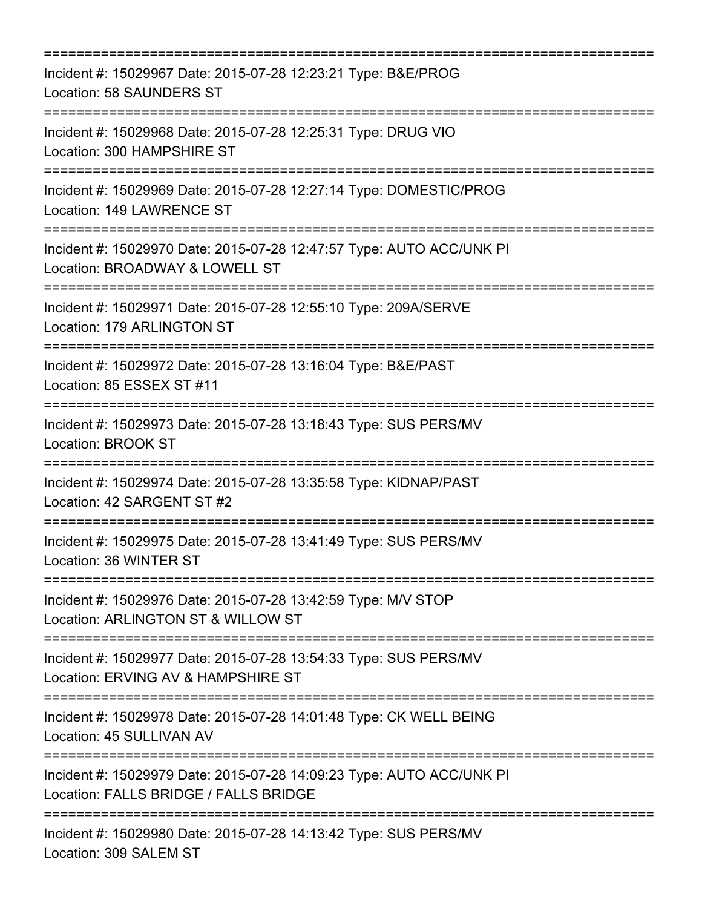| :========================                                                                                     |
|---------------------------------------------------------------------------------------------------------------|
| Incident #: 15029967 Date: 2015-07-28 12:23:21 Type: B&E/PROG<br>Location: 58 SAUNDERS ST                     |
| Incident #: 15029968 Date: 2015-07-28 12:25:31 Type: DRUG VIO<br>Location: 300 HAMPSHIRE ST                   |
| Incident #: 15029969 Date: 2015-07-28 12:27:14 Type: DOMESTIC/PROG<br>Location: 149 LAWRENCE ST               |
| Incident #: 15029970 Date: 2015-07-28 12:47:57 Type: AUTO ACC/UNK PI<br>Location: BROADWAY & LOWELL ST        |
| Incident #: 15029971 Date: 2015-07-28 12:55:10 Type: 209A/SERVE<br>Location: 179 ARLINGTON ST                 |
| Incident #: 15029972 Date: 2015-07-28 13:16:04 Type: B&E/PAST<br>Location: 85 ESSEX ST #11                    |
| Incident #: 15029973 Date: 2015-07-28 13:18:43 Type: SUS PERS/MV<br>Location: BROOK ST                        |
| Incident #: 15029974 Date: 2015-07-28 13:35:58 Type: KIDNAP/PAST<br>Location: 42 SARGENT ST #2                |
| Incident #: 15029975 Date: 2015-07-28 13:41:49 Type: SUS PERS/MV<br>Location: 36 WINTER ST                    |
| Incident #: 15029976 Date: 2015-07-28 13:42:59 Type: M/V STOP<br>Location: ARLINGTON ST & WILLOW ST           |
| Incident #: 15029977 Date: 2015-07-28 13:54:33 Type: SUS PERS/MV<br>Location: ERVING AV & HAMPSHIRE ST        |
| Incident #: 15029978 Date: 2015-07-28 14:01:48 Type: CK WELL BEING<br>Location: 45 SULLIVAN AV                |
| Incident #: 15029979 Date: 2015-07-28 14:09:23 Type: AUTO ACC/UNK PI<br>Location: FALLS BRIDGE / FALLS BRIDGE |
| Incident #: 15029980 Date: 2015-07-28 14:13:42 Type: SUS PERS/MV<br>Location: 309 SALEM ST                    |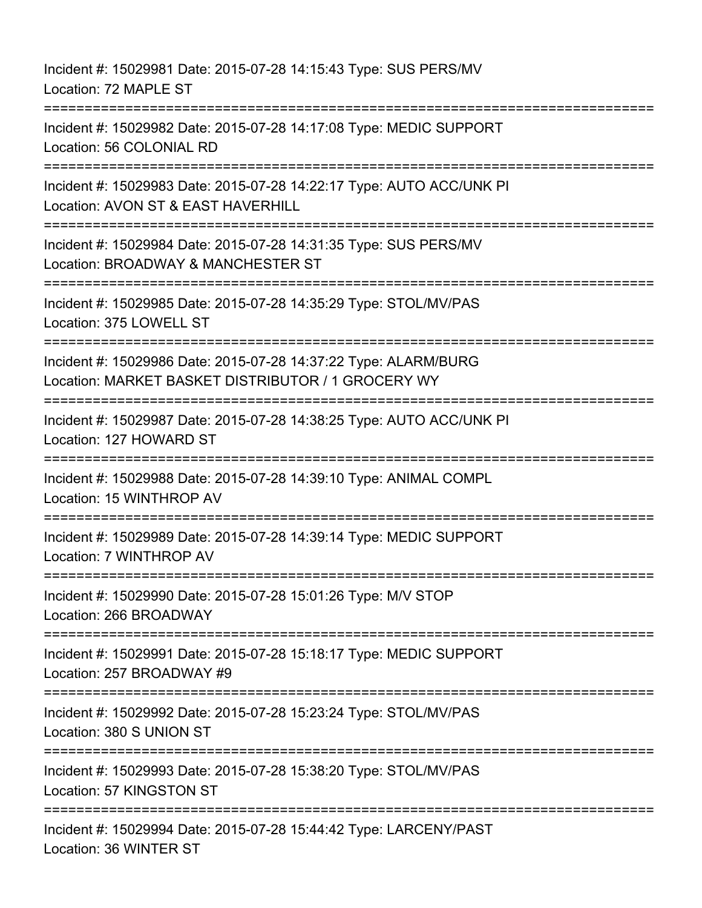Incident #: 15029981 Date: 2015-07-28 14:15:43 Type: SUS PERS/MV Location: 72 MAPLE ST =========================================================================== Incident #: 15029982 Date: 2015-07-28 14:17:08 Type: MEDIC SUPPORT Location: 56 COLONIAL RD =========================================================================== Incident #: 15029983 Date: 2015-07-28 14:22:17 Type: AUTO ACC/UNK PI Location: AVON ST & EAST HAVERHILL =========================================================================== Incident #: 15029984 Date: 2015-07-28 14:31:35 Type: SUS PERS/MV Location: BROADWAY & MANCHESTER ST =========================================================================== Incident #: 15029985 Date: 2015-07-28 14:35:29 Type: STOL/MV/PAS Location: 375 LOWELL ST =========================================================================== Incident #: 15029986 Date: 2015-07-28 14:37:22 Type: ALARM/BURG Location: MARKET BASKET DISTRIBUTOR / 1 GROCERY WY =========================================================================== Incident #: 15029987 Date: 2015-07-28 14:38:25 Type: AUTO ACC/UNK PI Location: 127 HOWARD ST =========================================================================== Incident #: 15029988 Date: 2015-07-28 14:39:10 Type: ANIMAL COMPL Location: 15 WINTHROP AV =========================================================================== Incident #: 15029989 Date: 2015-07-28 14:39:14 Type: MEDIC SUPPORT Location: 7 WINTHROP AV =========================================================================== Incident #: 15029990 Date: 2015-07-28 15:01:26 Type: M/V STOP Location: 266 BROADWAY =========================================================================== Incident #: 15029991 Date: 2015-07-28 15:18:17 Type: MEDIC SUPPORT Location: 257 BROADWAY #9 =========================================================================== Incident #: 15029992 Date: 2015-07-28 15:23:24 Type: STOL/MV/PAS Location: 380 S UNION ST =========================================================================== Incident #: 15029993 Date: 2015-07-28 15:38:20 Type: STOL/MV/PAS Location: 57 KINGSTON ST ========================= Incident #: 15029994 Date: 2015-07-28 15:44:42 Type: LARCENY/PAST Location: 36 WINTER ST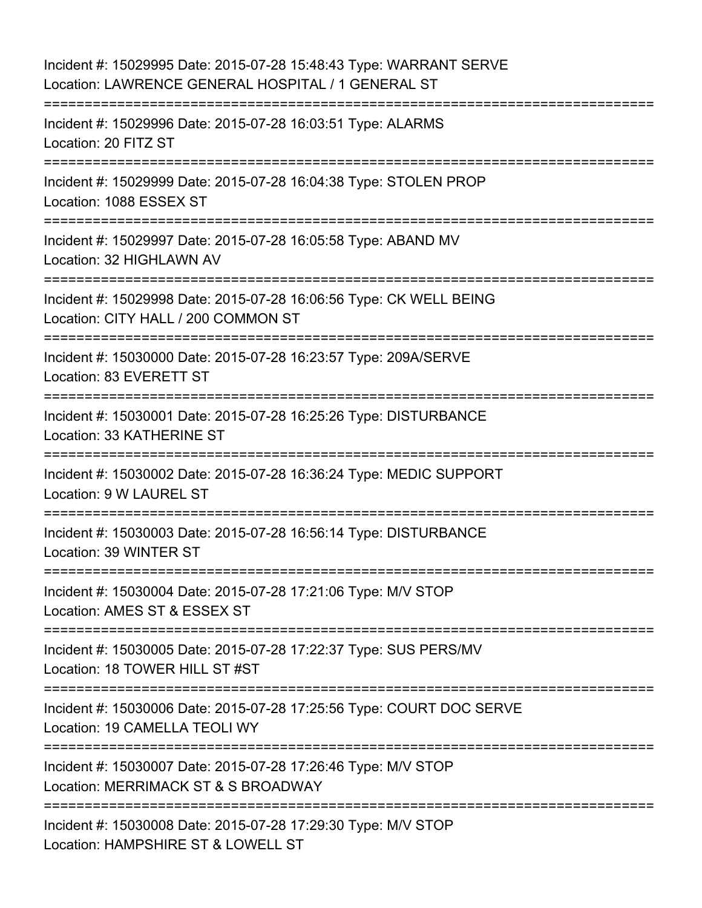| Incident #: 15029995 Date: 2015-07-28 15:48:43 Type: WARRANT SERVE<br>Location: LAWRENCE GENERAL HOSPITAL / 1 GENERAL ST     |
|------------------------------------------------------------------------------------------------------------------------------|
| ===========================<br>Incident #: 15029996 Date: 2015-07-28 16:03:51 Type: ALARMS<br>Location: 20 FITZ ST           |
| Incident #: 15029999 Date: 2015-07-28 16:04:38 Type: STOLEN PROP<br>Location: 1088 ESSEX ST<br>============================= |
| Incident #: 15029997 Date: 2015-07-28 16:05:58 Type: ABAND MV<br>Location: 32 HIGHLAWN AV<br>============                    |
| Incident #: 15029998 Date: 2015-07-28 16:06:56 Type: CK WELL BEING<br>Location: CITY HALL / 200 COMMON ST                    |
| Incident #: 15030000 Date: 2015-07-28 16:23:57 Type: 209A/SERVE<br>Location: 83 EVERETT ST                                   |
| Incident #: 15030001 Date: 2015-07-28 16:25:26 Type: DISTURBANCE<br>Location: 33 KATHERINE ST                                |
| ==================<br>Incident #: 15030002 Date: 2015-07-28 16:36:24 Type: MEDIC SUPPORT<br>Location: 9 W LAUREL ST          |
| ===================<br>Incident #: 15030003 Date: 2015-07-28 16:56:14 Type: DISTURBANCE<br>Location: 39 WINTER ST            |
| Incident #: 15030004 Date: 2015-07-28 17:21:06 Type: M/V STOP<br>Location: AMES ST & ESSEX ST                                |
| Incident #: 15030005 Date: 2015-07-28 17:22:37 Type: SUS PERS/MV<br>Location: 18 TOWER HILL ST#ST                            |
| Incident #: 15030006 Date: 2015-07-28 17:25:56 Type: COURT DOC SERVE<br>Location: 19 CAMELLA TEOLI WY                        |
| Incident #: 15030007 Date: 2015-07-28 17:26:46 Type: M/V STOP<br>Location: MERRIMACK ST & S BROADWAY                         |
| Incident #: 15030008 Date: 2015-07-28 17:29:30 Type: M/V STOP<br>Location: HAMPSHIRE ST & LOWELL ST                          |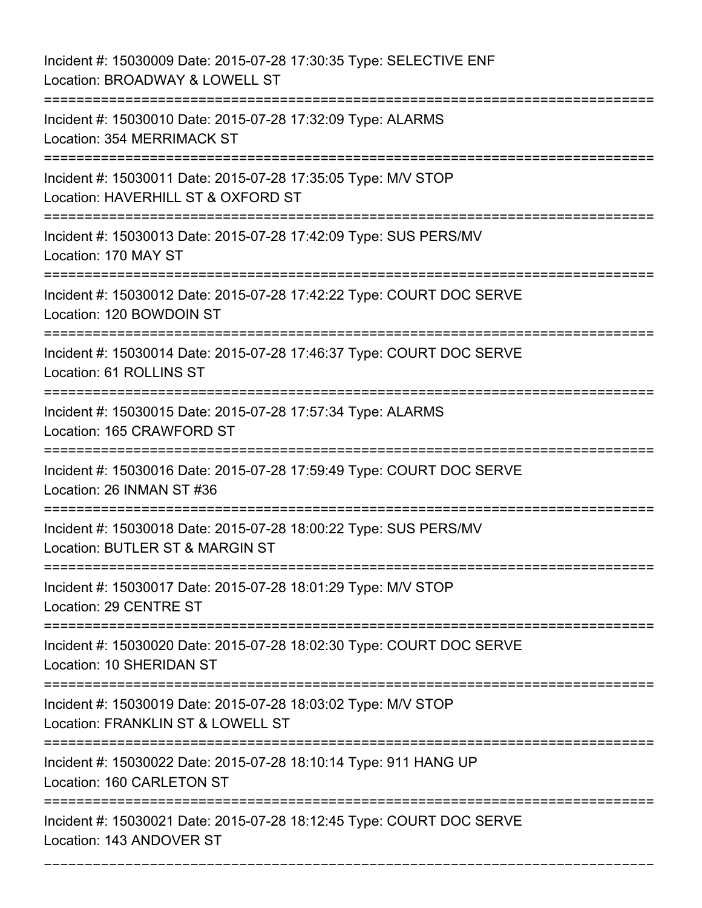Incident #: 15030009 Date: 2015-07-28 17:30:35 Type: SELECTIVE ENF Location: BROADWAY & LOWELL ST =========================================================================== Incident #: 15030010 Date: 2015-07-28 17:32:09 Type: ALARMS Location: 354 MERRIMACK ST =========================================================================== Incident #: 15030011 Date: 2015-07-28 17:35:05 Type: M/V STOP Location: HAVERHILL ST & OXFORD ST =========================================================================== Incident #: 15030013 Date: 2015-07-28 17:42:09 Type: SUS PERS/MV Location: 170 MAY ST =========================================================================== Incident #: 15030012 Date: 2015-07-28 17:42:22 Type: COURT DOC SERVE Location: 120 BOWDOIN ST =========================================================================== Incident #: 15030014 Date: 2015-07-28 17:46:37 Type: COURT DOC SERVE Location: 61 ROLLINS ST =========================================================================== Incident #: 15030015 Date: 2015-07-28 17:57:34 Type: ALARMS Location: 165 CRAWFORD ST =========================================================================== Incident #: 15030016 Date: 2015-07-28 17:59:49 Type: COURT DOC SERVE Location: 26 INMAN ST #36 =========================================================================== Incident #: 15030018 Date: 2015-07-28 18:00:22 Type: SUS PERS/MV Location: BUTLER ST & MARGIN ST =========================================================================== Incident #: 15030017 Date: 2015-07-28 18:01:29 Type: M/V STOP Location: 29 CENTRE ST =========================================================================== Incident #: 15030020 Date: 2015-07-28 18:02:30 Type: COURT DOC SERVE Location: 10 SHERIDAN ST =========================================================================== Incident #: 15030019 Date: 2015-07-28 18:03:02 Type: M/V STOP Location: FRANKLIN ST & LOWELL ST =========================================================================== Incident #: 15030022 Date: 2015-07-28 18:10:14 Type: 911 HANG UP Location: 160 CARLETON ST =========================================================================== Incident #: 15030021 Date: 2015-07-28 18:12:45 Type: COURT DOC SERVE Location: 143 ANDOVER ST

===========================================================================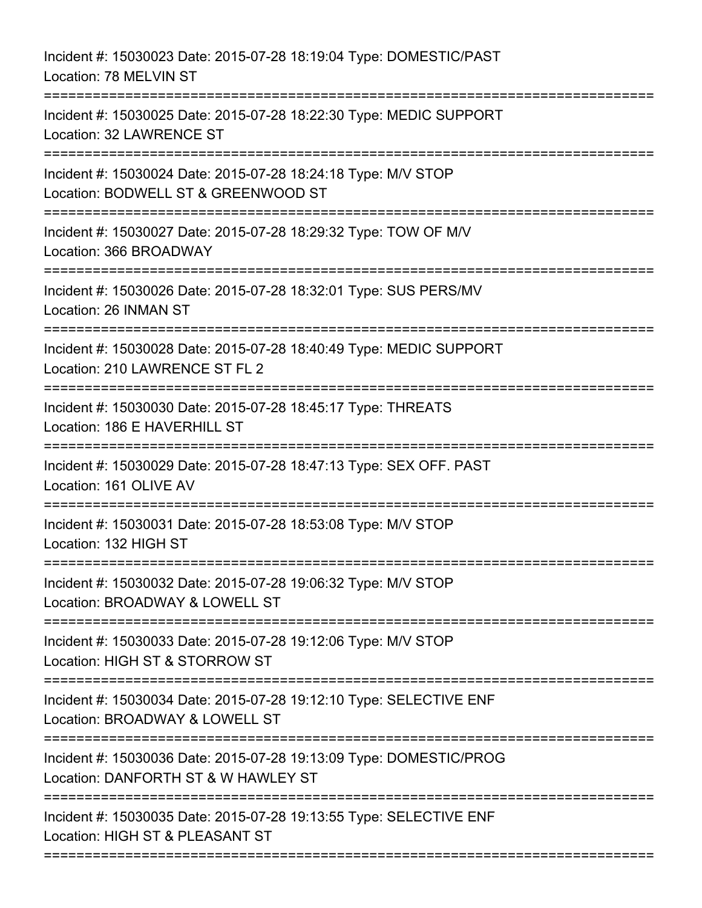Incident #: 15030023 Date: 2015-07-28 18:19:04 Type: DOMESTIC/PAST Location: 78 MELVIN ST =========================================================================== Incident #: 15030025 Date: 2015-07-28 18:22:30 Type: MEDIC SUPPORT Location: 32 LAWRENCE ST =========================================================================== Incident #: 15030024 Date: 2015-07-28 18:24:18 Type: M/V STOP Location: BODWELL ST & GREENWOOD ST =========================================================================== Incident #: 15030027 Date: 2015-07-28 18:29:32 Type: TOW OF M/V Location: 366 BROADWAY =========================================================================== Incident #: 15030026 Date: 2015-07-28 18:32:01 Type: SUS PERS/MV Location: 26 INMAN ST =========================================================================== Incident #: 15030028 Date: 2015-07-28 18:40:49 Type: MEDIC SUPPORT Location: 210 LAWRENCE ST FL 2 =========================================================================== Incident #: 15030030 Date: 2015-07-28 18:45:17 Type: THREATS Location: 186 E HAVERHILL ST =========================================================================== Incident #: 15030029 Date: 2015-07-28 18:47:13 Type: SEX OFF. PAST Location: 161 OLIVE AV =========================================================================== Incident #: 15030031 Date: 2015-07-28 18:53:08 Type: M/V STOP Location: 132 HIGH ST =========================================================================== Incident #: 15030032 Date: 2015-07-28 19:06:32 Type: M/V STOP Location: BROADWAY & LOWELL ST =========================================================================== Incident #: 15030033 Date: 2015-07-28 19:12:06 Type: M/V STOP Location: HIGH ST & STORROW ST =========================================================================== Incident #: 15030034 Date: 2015-07-28 19:12:10 Type: SELECTIVE ENF Location: BROADWAY & LOWELL ST =========================================================================== Incident #: 15030036 Date: 2015-07-28 19:13:09 Type: DOMESTIC/PROG Location: DANFORTH ST & W HAWLEY ST =========================================================================== Incident #: 15030035 Date: 2015-07-28 19:13:55 Type: SELECTIVE ENF Location: HIGH ST & PLEASANT ST ===========================================================================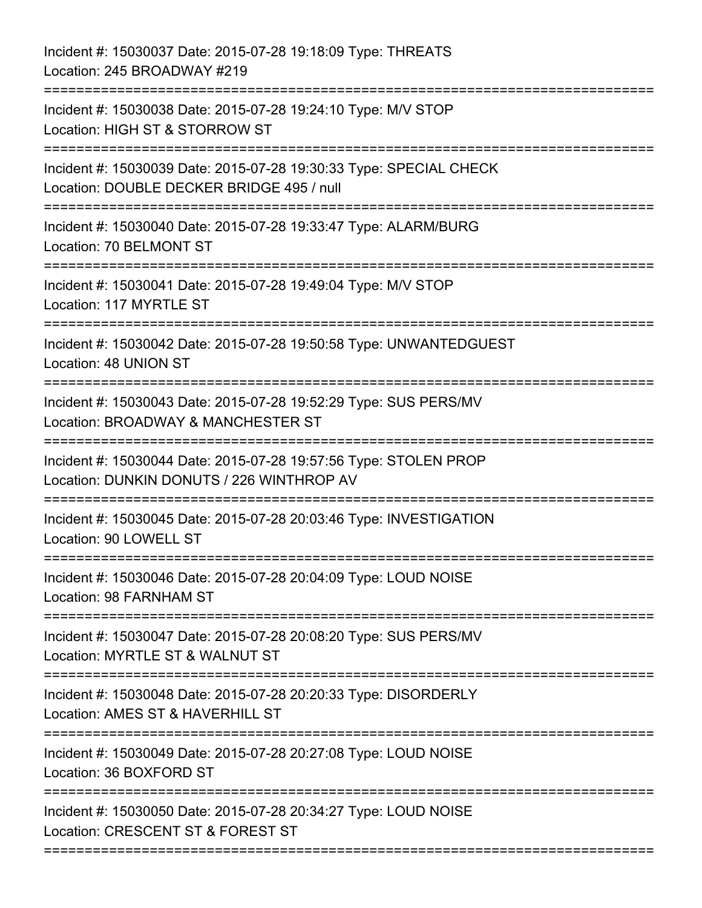Incident #: 15030037 Date: 2015-07-28 19:18:09 Type: THREATS Location: 245 BROADWAY #219 =========================================================================== Incident #: 15030038 Date: 2015-07-28 19:24:10 Type: M/V STOP Location: HIGH ST & STORROW ST =========================================================================== Incident #: 15030039 Date: 2015-07-28 19:30:33 Type: SPECIAL CHECK Location: DOUBLE DECKER BRIDGE 495 / null =========================================================================== Incident #: 15030040 Date: 2015-07-28 19:33:47 Type: ALARM/BURG Location: 70 BELMONT ST =========================================================================== Incident #: 15030041 Date: 2015-07-28 19:49:04 Type: M/V STOP Location: 117 MYRTLE ST =========================================================================== Incident #: 15030042 Date: 2015-07-28 19:50:58 Type: UNWANTEDGUEST Location: 48 UNION ST =========================================================================== Incident #: 15030043 Date: 2015-07-28 19:52:29 Type: SUS PERS/MV Location: BROADWAY & MANCHESTER ST =========================================================================== Incident #: 15030044 Date: 2015-07-28 19:57:56 Type: STOLEN PROP Location: DUNKIN DONUTS / 226 WINTHROP AV =========================================================================== Incident #: 15030045 Date: 2015-07-28 20:03:46 Type: INVESTIGATION Location: 90 LOWELL ST =========================================================================== Incident #: 15030046 Date: 2015-07-28 20:04:09 Type: LOUD NOISE Location: 98 FARNHAM ST =========================================================================== Incident #: 15030047 Date: 2015-07-28 20:08:20 Type: SUS PERS/MV Location: MYRTLE ST & WALNUT ST =========================================================================== Incident #: 15030048 Date: 2015-07-28 20:20:33 Type: DISORDERLY Location: AMES ST & HAVERHILL ST =========================================================================== Incident #: 15030049 Date: 2015-07-28 20:27:08 Type: LOUD NOISE Location: 36 BOXFORD ST =========================================================================== Incident #: 15030050 Date: 2015-07-28 20:34:27 Type: LOUD NOISE Location: CRESCENT ST & FOREST ST ===========================================================================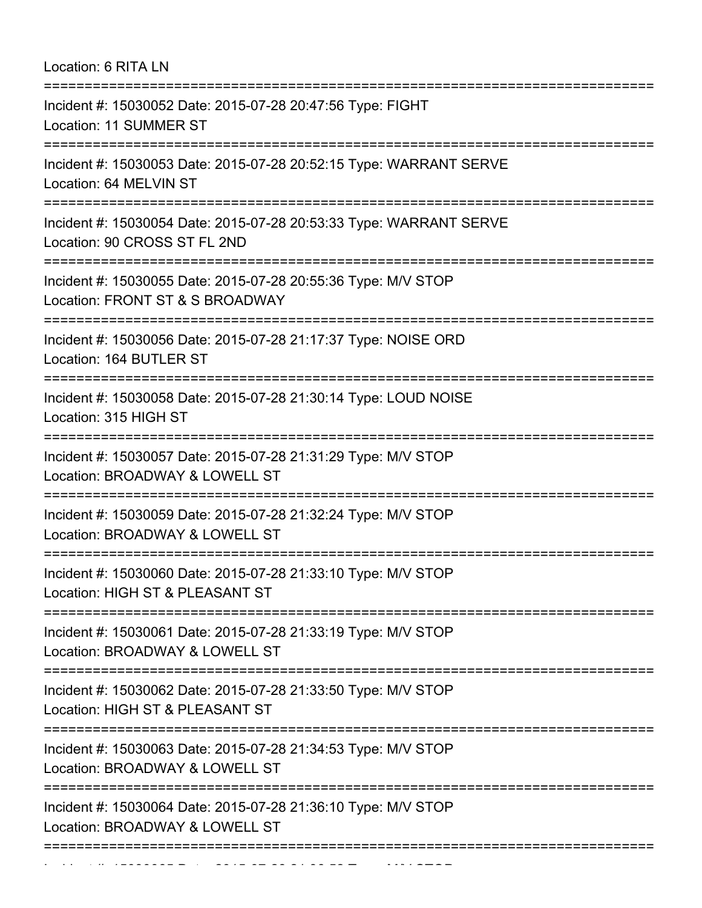Location: 6 RITA LN

| Incident #: 15030052 Date: 2015-07-28 20:47:56 Type: FIGHT<br>Location: 11 SUMMER ST                                                |
|-------------------------------------------------------------------------------------------------------------------------------------|
| Incident #: 15030053 Date: 2015-07-28 20:52:15 Type: WARRANT SERVE<br>Location: 64 MELVIN ST                                        |
| Incident #: 15030054 Date: 2015-07-28 20:53:33 Type: WARRANT SERVE<br>Location: 90 CROSS ST FL 2ND                                  |
| Incident #: 15030055 Date: 2015-07-28 20:55:36 Type: M/V STOP<br>Location: FRONT ST & S BROADWAY                                    |
| Incident #: 15030056 Date: 2015-07-28 21:17:37 Type: NOISE ORD<br>Location: 164 BUTLER ST                                           |
| Incident #: 15030058 Date: 2015-07-28 21:30:14 Type: LOUD NOISE<br>Location: 315 HIGH ST                                            |
| Incident #: 15030057 Date: 2015-07-28 21:31:29 Type: M/V STOP<br>Location: BROADWAY & LOWELL ST                                     |
| Incident #: 15030059 Date: 2015-07-28 21:32:24 Type: M/V STOP<br>Location: BROADWAY & LOWELL ST                                     |
| Incident #: 15030060 Date: 2015-07-28 21:33:10 Type: M/V STOP<br>Location: HIGH ST & PLEASANT ST                                    |
| --------------------------------<br>Incident #: 15030061 Date: 2015-07-28 21:33:19 Type: M/V STOP<br>Location: BROADWAY & LOWELL ST |
| Incident #: 15030062 Date: 2015-07-28 21:33:50 Type: M/V STOP<br>Location: HIGH ST & PLEASANT ST                                    |
| Incident #: 15030063 Date: 2015-07-28 21:34:53 Type: M/V STOP<br>Location: BROADWAY & LOWELL ST                                     |
| Incident #: 15030064 Date: 2015-07-28 21:36:10 Type: M/V STOP<br>Location: BROADWAY & LOWELL ST                                     |
|                                                                                                                                     |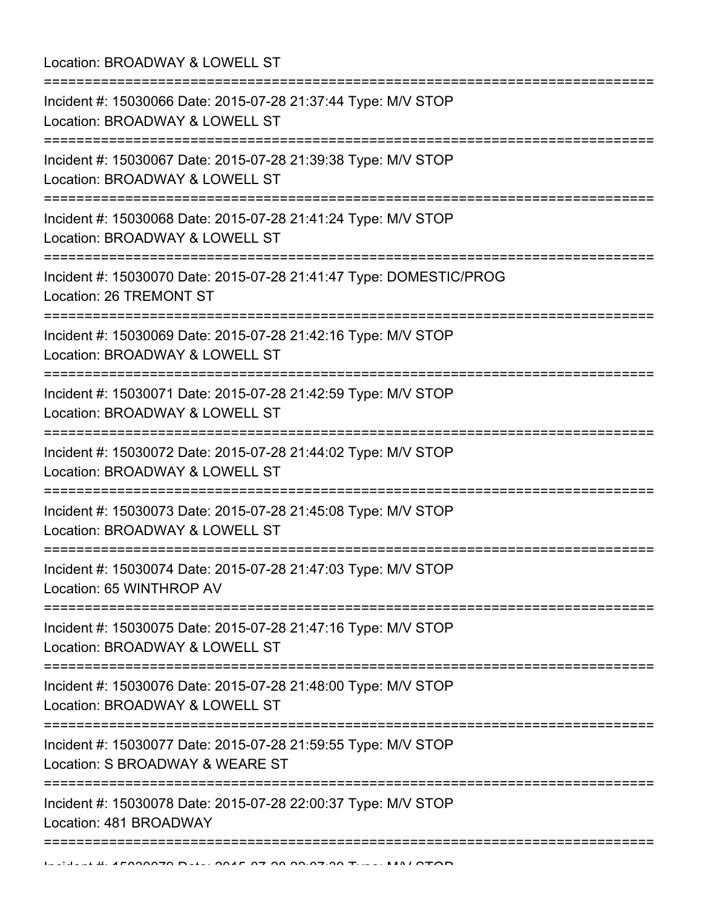| Location: BROADWAY & LOWELL ST<br>====================                                           |
|--------------------------------------------------------------------------------------------------|
| Incident #: 15030066 Date: 2015-07-28 21:37:44 Type: M/V STOP<br>Location: BROADWAY & LOWELL ST  |
| Incident #: 15030067 Date: 2015-07-28 21:39:38 Type: M/V STOP<br>Location: BROADWAY & LOWELL ST  |
| Incident #: 15030068 Date: 2015-07-28 21:41:24 Type: M/V STOP<br>Location: BROADWAY & LOWELL ST  |
| Incident #: 15030070 Date: 2015-07-28 21:41:47 Type: DOMESTIC/PROG<br>Location: 26 TREMONT ST    |
| Incident #: 15030069 Date: 2015-07-28 21:42:16 Type: M/V STOP<br>Location: BROADWAY & LOWELL ST  |
| Incident #: 15030071 Date: 2015-07-28 21:42:59 Type: M/V STOP<br>Location: BROADWAY & LOWELL ST  |
| Incident #: 15030072 Date: 2015-07-28 21:44:02 Type: M/V STOP<br>Location: BROADWAY & LOWELL ST  |
| Incident #: 15030073 Date: 2015-07-28 21:45:08 Type: M/V STOP<br>Location: BROADWAY & LOWELL ST  |
| Incident #: 15030074 Date: 2015-07-28 21:47:03 Type: M/V STOP<br>Location: 65 WINTHROP AV        |
| Incident #: 15030075 Date: 2015-07-28 21:47:16 Type: M/V STOP<br>Location: BROADWAY & LOWELL ST  |
| Incident #: 15030076 Date: 2015-07-28 21:48:00 Type: M/V STOP<br>Location: BROADWAY & LOWELL ST  |
| Incident #: 15030077 Date: 2015-07-28 21:59:55 Type: M/V STOP<br>Location: S BROADWAY & WEARE ST |
| Incident #: 15030078 Date: 2015-07-28 22:00:37 Type: M/V STOP<br>Location: 481 BROADWAY          |
|                                                                                                  |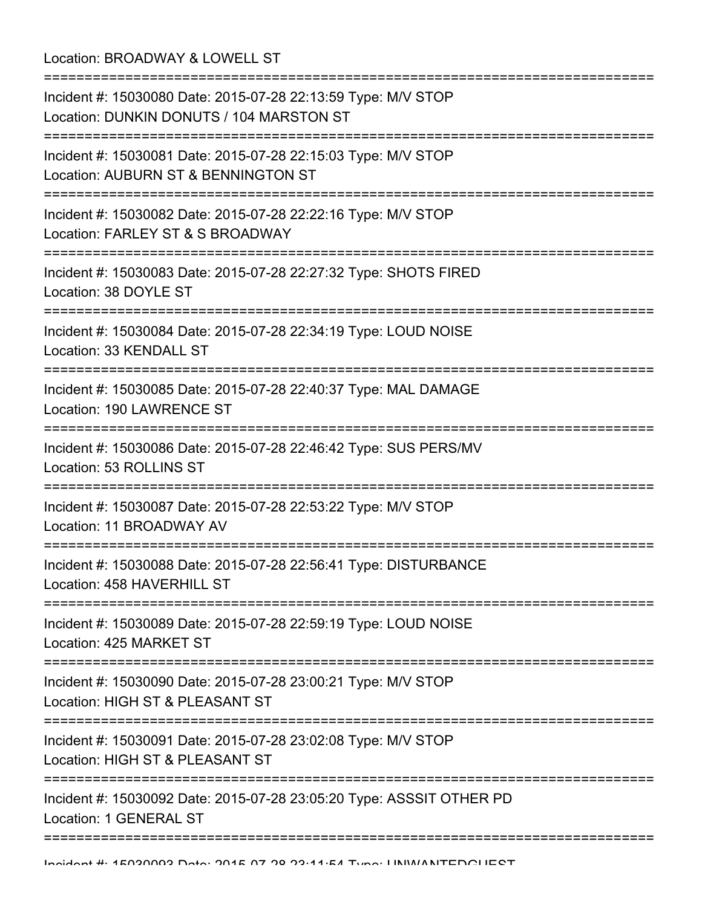Location: BROADWAY & LOWELL ST **==================** Incident #: 15030080 Date: 2015-07-28 22:13:59 Type: M/V STOP Location: DUNKIN DONUTS / 104 MARSTON ST =========================================================================== Incident #: 15030081 Date: 2015-07-28 22:15:03 Type: M/V STOP Location: AUBURN ST & BENNINGTON ST =========================================================================== Incident #: 15030082 Date: 2015-07-28 22:22:16 Type: M/V STOP Location: FARLEY ST & S BROADWAY =========================================================================== Incident #: 15030083 Date: 2015-07-28 22:27:32 Type: SHOTS FIRED Location: 38 DOYLE ST =========================================================================== Incident #: 15030084 Date: 2015-07-28 22:34:19 Type: LOUD NOISE Location: 33 KENDALL ST =========================================================================== Incident #: 15030085 Date: 2015-07-28 22:40:37 Type: MAL DAMAGE Location: 190 LAWRENCE ST =========================================================================== Incident #: 15030086 Date: 2015-07-28 22:46:42 Type: SUS PERS/MV Location: 53 ROLLINS ST =========================================================================== Incident #: 15030087 Date: 2015-07-28 22:53:22 Type: M/V STOP Location: 11 BROADWAY AV =========================================================================== Incident #: 15030088 Date: 2015-07-28 22:56:41 Type: DISTURBANCE Location: 458 HAVERHILL ST =========================================================================== Incident #: 15030089 Date: 2015-07-28 22:59:19 Type: LOUD NOISE Location: 425 MARKET ST =========================================================================== Incident #: 15030090 Date: 2015-07-28 23:00:21 Type: M/V STOP Location: HIGH ST & PLEASANT ST =========================================================================== Incident #: 15030091 Date: 2015-07-28 23:02:08 Type: M/V STOP Location: HIGH ST & PLEASANT ST =========================================================================== Incident #: 15030092 Date: 2015-07-28 23:05:20 Type: ASSSIT OTHER PD Location: 1 GENERAL ST ===========================================================================